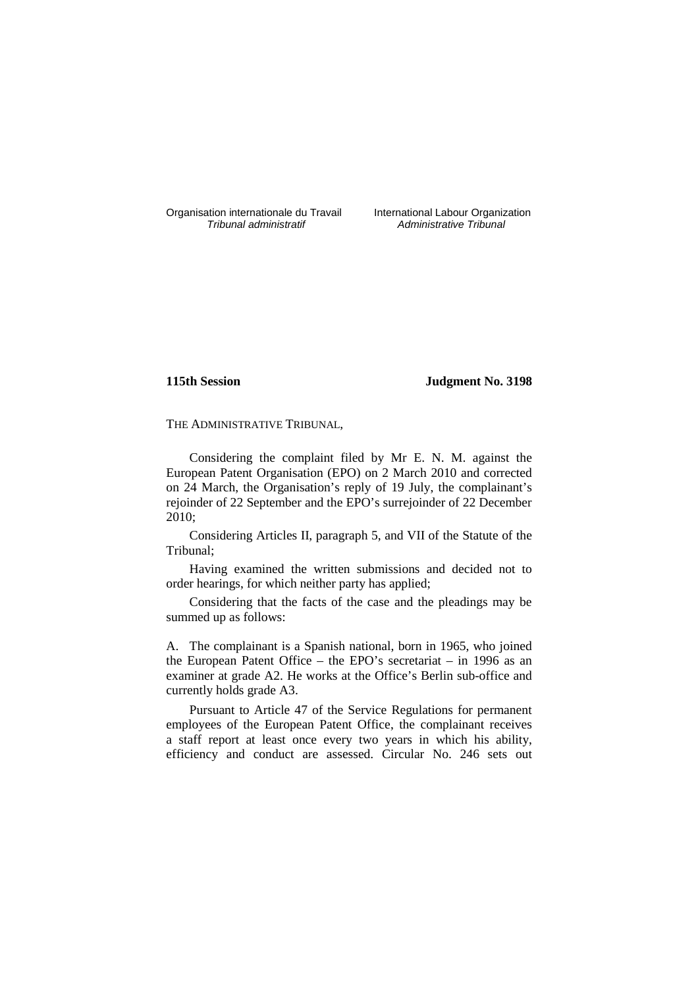Organisation internationale du Travail International Labour Organization<br>*Tribunal administratif* Administrative Tribunal

Administrative Tribunal

# **115th Session Judgment No. 3198**

THE ADMINISTRATIVE TRIBUNAL,

Considering the complaint filed by Mr E. N. M. against the European Patent Organisation (EPO) on 2 March 2010 and corrected on 24 March, the Organisation's reply of 19 July, the complainant's rejoinder of 22 September and the EPO's surrejoinder of 22 December 2010;

Considering Articles II, paragraph 5, and VII of the Statute of the Tribunal;

Having examined the written submissions and decided not to order hearings, for which neither party has applied;

Considering that the facts of the case and the pleadings may be summed up as follows:

A. The complainant is a Spanish national, born in 1965, who joined the European Patent Office – the EPO's secretariat – in 1996 as an examiner at grade A2. He works at the Office's Berlin sub-office and currently holds grade A3.

Pursuant to Article 47 of the Service Regulations for permanent employees of the European Patent Office, the complainant receives a staff report at least once every two years in which his ability, efficiency and conduct are assessed. Circular No. 246 sets out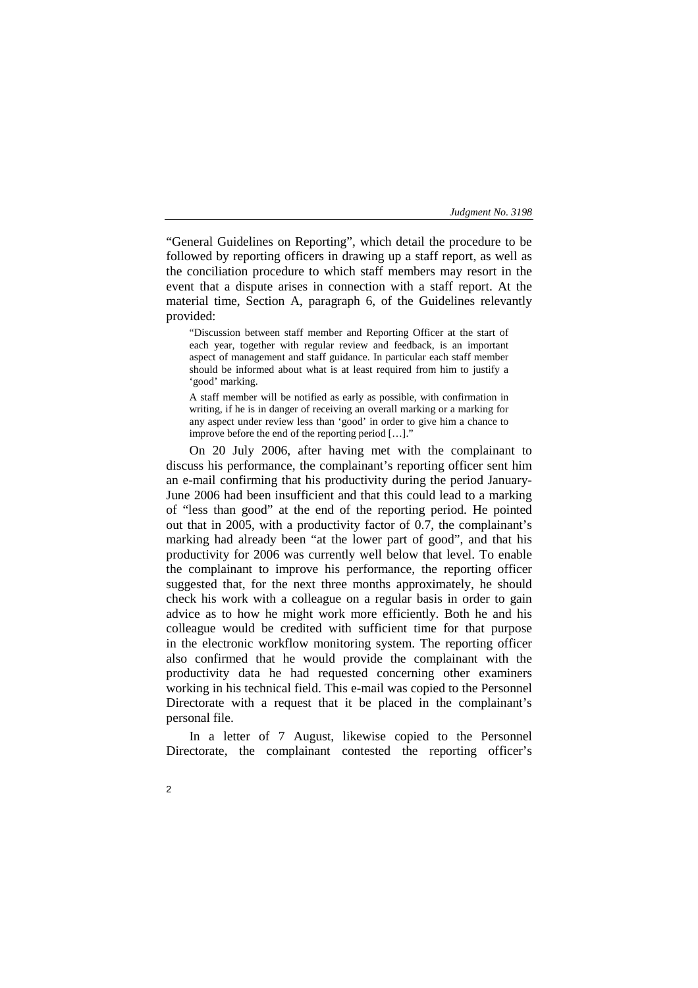"General Guidelines on Reporting", which detail the procedure to be followed by reporting officers in drawing up a staff report, as well as the conciliation procedure to which staff members may resort in the event that a dispute arises in connection with a staff report. At the material time, Section A, paragraph 6, of the Guidelines relevantly provided:

"Discussion between staff member and Reporting Officer at the start of each year, together with regular review and feedback, is an important aspect of management and staff guidance. In particular each staff member should be informed about what is at least required from him to justify a 'good' marking.

A staff member will be notified as early as possible, with confirmation in writing, if he is in danger of receiving an overall marking or a marking for any aspect under review less than 'good' in order to give him a chance to improve before the end of the reporting period  $[...]$ .

On 20 July 2006, after having met with the complainant to discuss his performance, the complainant's reporting officer sent him an e-mail confirming that his productivity during the period January-June 2006 had been insufficient and that this could lead to a marking of "less than good" at the end of the reporting period. He pointed out that in 2005, with a productivity factor of 0.7, the complainant's marking had already been "at the lower part of good", and that his productivity for 2006 was currently well below that level. To enable the complainant to improve his performance, the reporting officer suggested that, for the next three months approximately, he should check his work with a colleague on a regular basis in order to gain advice as to how he might work more efficiently. Both he and his colleague would be credited with sufficient time for that purpose in the electronic workflow monitoring system. The reporting officer also confirmed that he would provide the complainant with the productivity data he had requested concerning other examiners working in his technical field. This e-mail was copied to the Personnel Directorate with a request that it be placed in the complainant's personal file.

In a letter of 7 August, likewise copied to the Personnel Directorate, the complainant contested the reporting officer's

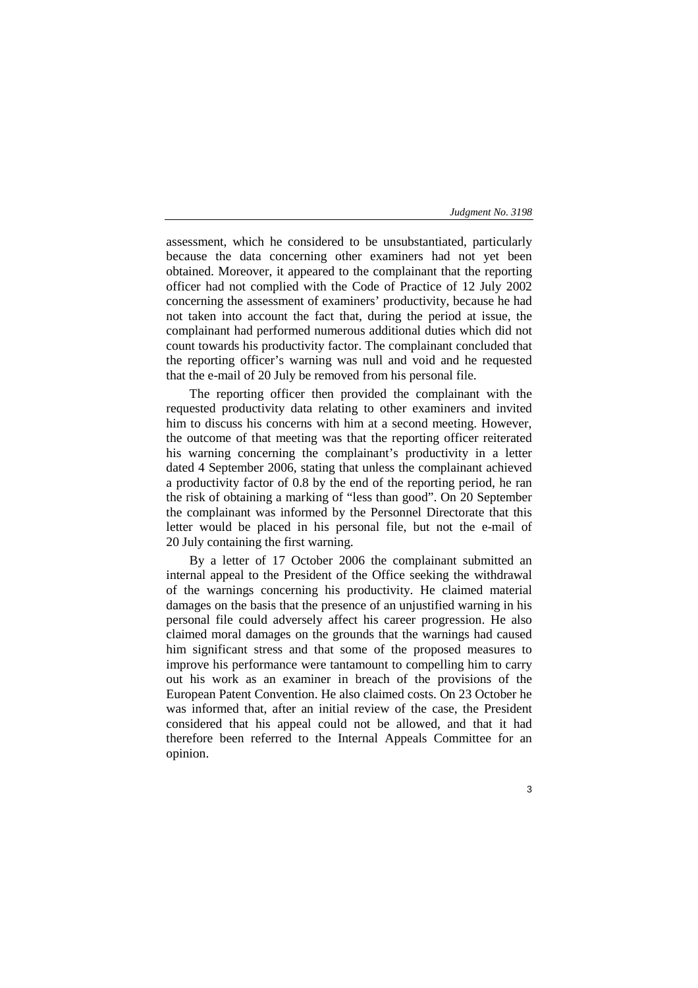3

assessment, which he considered to be unsubstantiated, particularly because the data concerning other examiners had not yet been obtained. Moreover, it appeared to the complainant that the reporting officer had not complied with the Code of Practice of 12 July 2002 concerning the assessment of examiners' productivity, because he had not taken into account the fact that, during the period at issue, the complainant had performed numerous additional duties which did not count towards his productivity factor. The complainant concluded that the reporting officer's warning was null and void and he requested that the e-mail of 20 July be removed from his personal file.

The reporting officer then provided the complainant with the requested productivity data relating to other examiners and invited him to discuss his concerns with him at a second meeting. However, the outcome of that meeting was that the reporting officer reiterated his warning concerning the complainant's productivity in a letter dated 4 September 2006, stating that unless the complainant achieved a productivity factor of 0.8 by the end of the reporting period, he ran the risk of obtaining a marking of "less than good". On 20 September the complainant was informed by the Personnel Directorate that this letter would be placed in his personal file, but not the e-mail of 20 July containing the first warning.

By a letter of 17 October 2006 the complainant submitted an internal appeal to the President of the Office seeking the withdrawal of the warnings concerning his productivity. He claimed material damages on the basis that the presence of an unjustified warning in his personal file could adversely affect his career progression. He also claimed moral damages on the grounds that the warnings had caused him significant stress and that some of the proposed measures to improve his performance were tantamount to compelling him to carry out his work as an examiner in breach of the provisions of the European Patent Convention. He also claimed costs. On 23 October he was informed that, after an initial review of the case, the President considered that his appeal could not be allowed, and that it had therefore been referred to the Internal Appeals Committee for an opinion.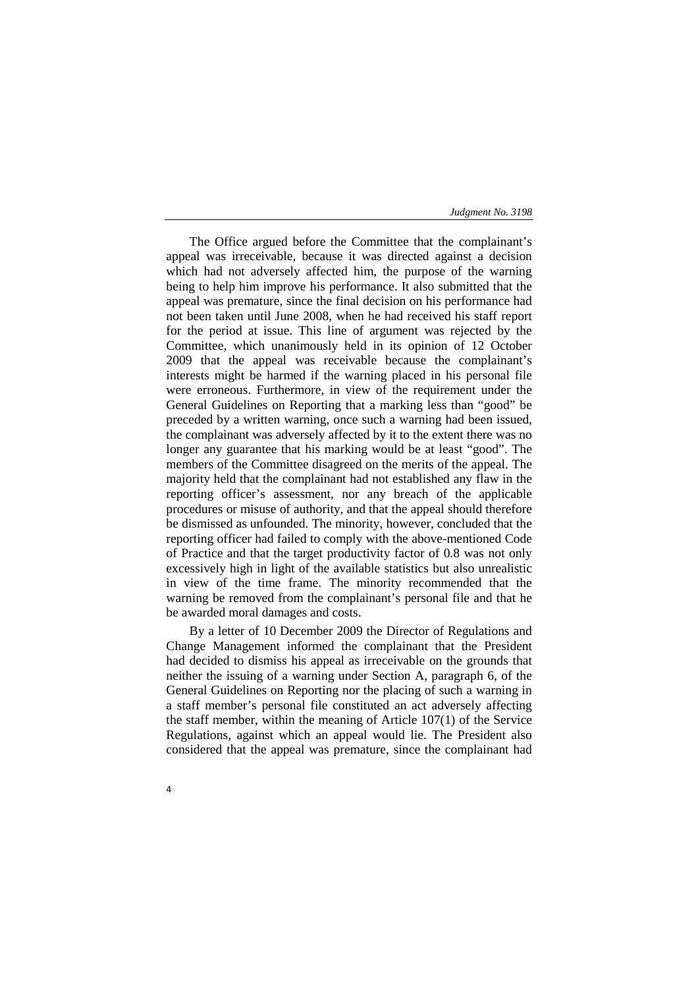The Office argued before the Committee that the complainant's appeal was irreceivable, because it was directed against a decision which had not adversely affected him, the purpose of the warning being to help him improve his performance. It also submitted that the appeal was premature, since the final decision on his performance had not been taken until June 2008, when he had received his staff report for the period at issue. This line of argument was rejected by the Committee, which unanimously held in its opinion of 12 October 2009 that the appeal was receivable because the complainant's interests might be harmed if the warning placed in his personal file were erroneous. Furthermore, in view of the requirement under the General Guidelines on Reporting that a marking less than "good" be preceded by a written warning, once such a warning had been issued, the complainant was adversely affected by it to the extent there was no longer any guarantee that his marking would be at least "good". The members of the Committee disagreed on the merits of the appeal. The majority held that the complainant had not established any flaw in the reporting officer's assessment, nor any breach of the applicable procedures or misuse of authority, and that the appeal should therefore be dismissed as unfounded. The minority, however, concluded that the reporting officer had failed to comply with the above-mentioned Code of Practice and that the target productivity factor of 0.8 was not only excessively high in light of the available statistics but also unrealistic in view of the time frame. The minority recommended that the warning be removed from the complainant's personal file and that he be awarded moral damages and costs.

By a letter of 10 December 2009 the Director of Regulations and Change Management informed the complainant that the President had decided to dismiss his appeal as irreceivable on the grounds that neither the issuing of a warning under Section A, paragraph 6, of the General Guidelines on Reporting nor the placing of such a warning in a staff member's personal file constituted an act adversely affecting the staff member, within the meaning of Article 107(1) of the Service Regulations, against which an appeal would lie. The President also considered that the appeal was premature, since the complainant had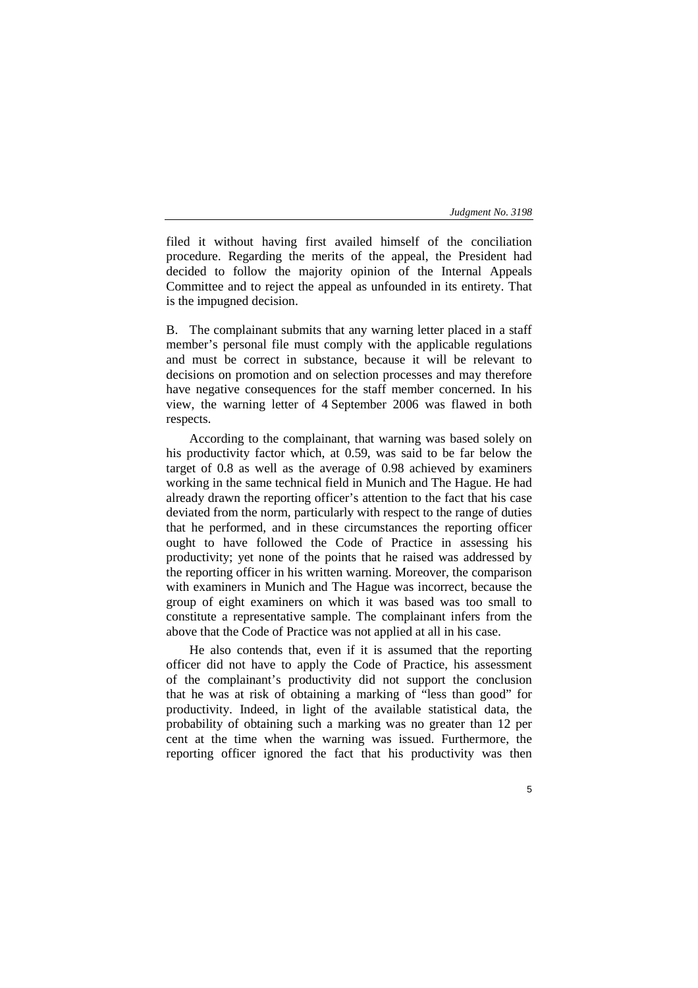filed it without having first availed himself of the conciliation procedure. Regarding the merits of the appeal, the President had decided to follow the majority opinion of the Internal Appeals Committee and to reject the appeal as unfounded in its entirety. That is the impugned decision.

B. The complainant submits that any warning letter placed in a staff member's personal file must comply with the applicable regulations and must be correct in substance, because it will be relevant to decisions on promotion and on selection processes and may therefore have negative consequences for the staff member concerned. In his view, the warning letter of 4 September 2006 was flawed in both respects.

According to the complainant, that warning was based solely on his productivity factor which, at 0.59, was said to be far below the target of 0.8 as well as the average of 0.98 achieved by examiners working in the same technical field in Munich and The Hague. He had already drawn the reporting officer's attention to the fact that his case deviated from the norm, particularly with respect to the range of duties that he performed, and in these circumstances the reporting officer ought to have followed the Code of Practice in assessing his productivity; yet none of the points that he raised was addressed by the reporting officer in his written warning. Moreover, the comparison with examiners in Munich and The Hague was incorrect, because the group of eight examiners on which it was based was too small to constitute a representative sample. The complainant infers from the above that the Code of Practice was not applied at all in his case.

He also contends that, even if it is assumed that the reporting officer did not have to apply the Code of Practice, his assessment of the complainant's productivity did not support the conclusion that he was at risk of obtaining a marking of "less than good" for productivity. Indeed, in light of the available statistical data, the probability of obtaining such a marking was no greater than 12 per cent at the time when the warning was issued. Furthermore, the reporting officer ignored the fact that his productivity was then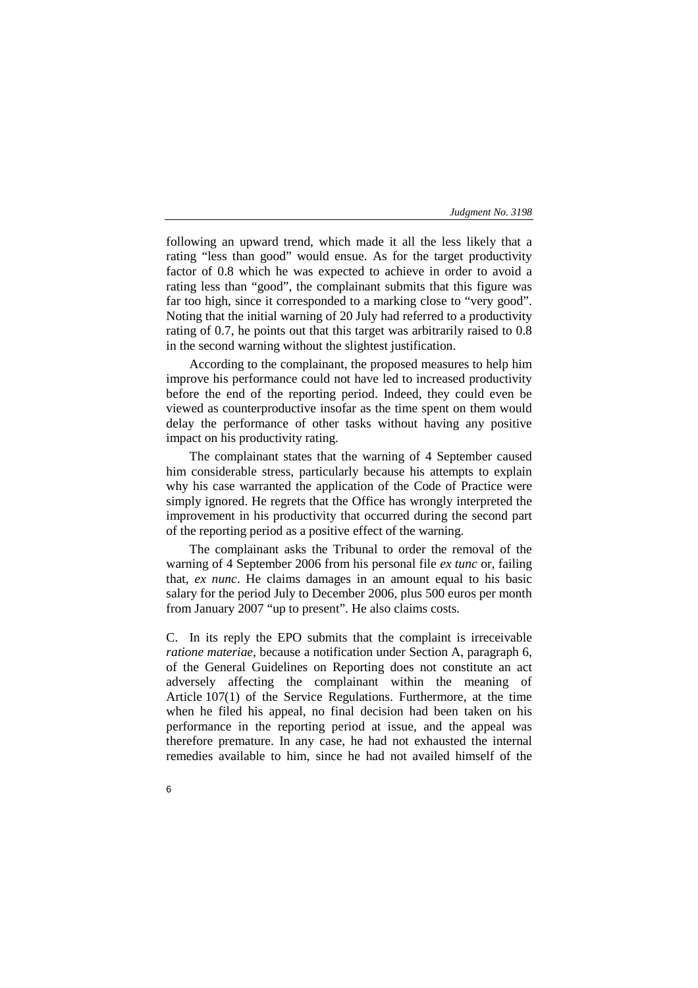following an upward trend, which made it all the less likely that a rating "less than good" would ensue. As for the target productivity factor of 0.8 which he was expected to achieve in order to avoid a rating less than "good", the complainant submits that this figure was far too high, since it corresponded to a marking close to "very good". Noting that the initial warning of 20 July had referred to a productivity rating of 0.7, he points out that this target was arbitrarily raised to 0.8 in the second warning without the slightest justification.

According to the complainant, the proposed measures to help him improve his performance could not have led to increased productivity before the end of the reporting period. Indeed, they could even be viewed as counterproductive insofar as the time spent on them would delay the performance of other tasks without having any positive impact on his productivity rating.

The complainant states that the warning of 4 September caused him considerable stress, particularly because his attempts to explain why his case warranted the application of the Code of Practice were simply ignored. He regrets that the Office has wrongly interpreted the improvement in his productivity that occurred during the second part of the reporting period as a positive effect of the warning.

The complainant asks the Tribunal to order the removal of the warning of 4 September 2006 from his personal file *ex tunc* or, failing that, *ex nunc*. He claims damages in an amount equal to his basic salary for the period July to December 2006, plus 500 euros per month from January 2007 "up to present". He also claims costs.

C. In its reply the EPO submits that the complaint is irreceivable *ratione materiae*, because a notification under Section A, paragraph 6, of the General Guidelines on Reporting does not constitute an act adversely affecting the complainant within the meaning of Article 107(1) of the Service Regulations. Furthermore, at the time when he filed his appeal, no final decision had been taken on his performance in the reporting period at issue, and the appeal was therefore premature. In any case, he had not exhausted the internal remedies available to him, since he had not availed himself of the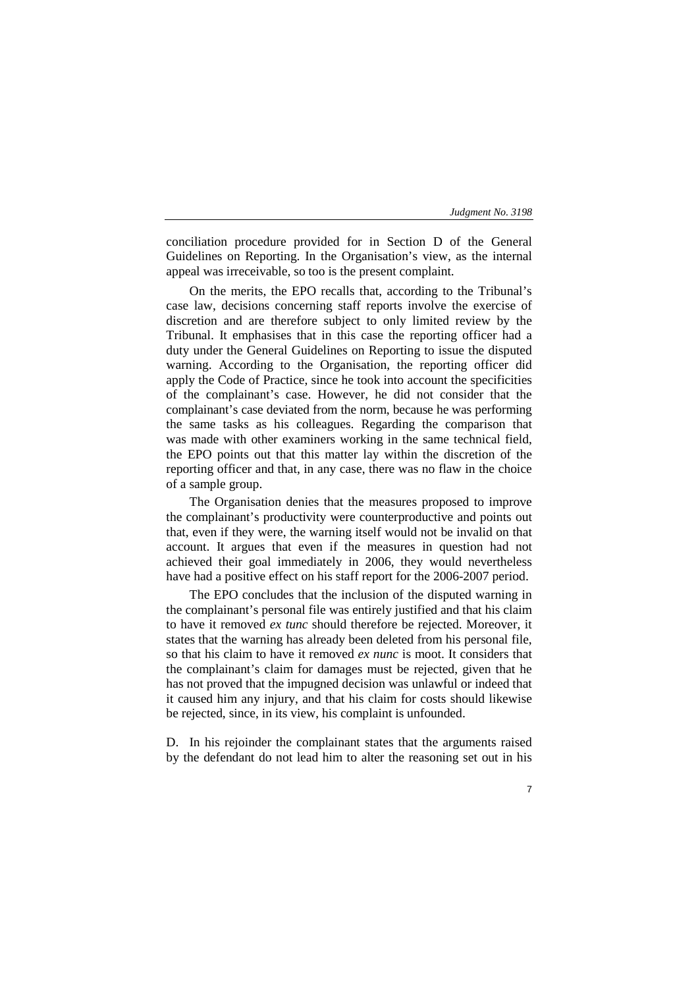7

conciliation procedure provided for in Section D of the General Guidelines on Reporting. In the Organisation's view, as the internal appeal was irreceivable, so too is the present complaint.

On the merits, the EPO recalls that, according to the Tribunal's case law, decisions concerning staff reports involve the exercise of discretion and are therefore subject to only limited review by the Tribunal. It emphasises that in this case the reporting officer had a duty under the General Guidelines on Reporting to issue the disputed warning. According to the Organisation, the reporting officer did apply the Code of Practice, since he took into account the specificities of the complainant's case. However, he did not consider that the complainant's case deviated from the norm, because he was performing the same tasks as his colleagues. Regarding the comparison that was made with other examiners working in the same technical field, the EPO points out that this matter lay within the discretion of the reporting officer and that, in any case, there was no flaw in the choice of a sample group.

The Organisation denies that the measures proposed to improve the complainant's productivity were counterproductive and points out that, even if they were, the warning itself would not be invalid on that account. It argues that even if the measures in question had not achieved their goal immediately in 2006, they would nevertheless have had a positive effect on his staff report for the 2006-2007 period.

The EPO concludes that the inclusion of the disputed warning in the complainant's personal file was entirely justified and that his claim to have it removed *ex tunc* should therefore be rejected. Moreover, it states that the warning has already been deleted from his personal file, so that his claim to have it removed *ex nunc* is moot. It considers that the complainant's claim for damages must be rejected, given that he has not proved that the impugned decision was unlawful or indeed that it caused him any injury, and that his claim for costs should likewise be rejected, since, in its view, his complaint is unfounded.

D. In his rejoinder the complainant states that the arguments raised by the defendant do not lead him to alter the reasoning set out in his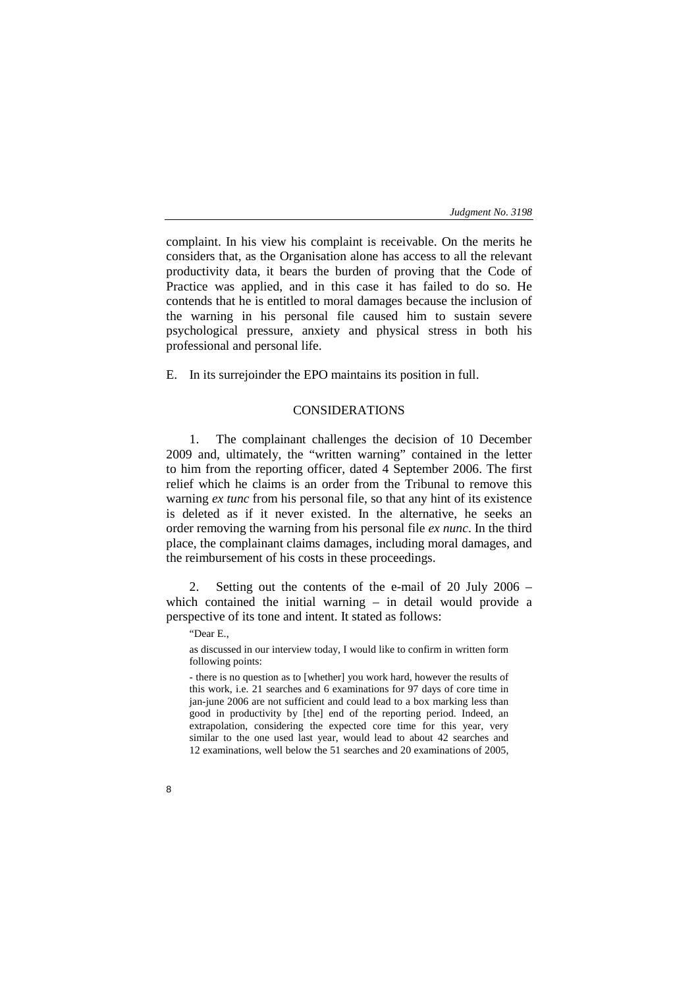complaint. In his view his complaint is receivable. On the merits he considers that, as the Organisation alone has access to all the relevant productivity data, it bears the burden of proving that the Code of Practice was applied, and in this case it has failed to do so. He contends that he is entitled to moral damages because the inclusion of the warning in his personal file caused him to sustain severe psychological pressure, anxiety and physical stress in both his professional and personal life.

E. In its surrejoinder the EPO maintains its position in full.

## CONSIDERATIONS

1. The complainant challenges the decision of 10 December 2009 and, ultimately, the "written warning" contained in the letter to him from the reporting officer, dated 4 September 2006. The first relief which he claims is an order from the Tribunal to remove this warning *ex tunc* from his personal file, so that any hint of its existence is deleted as if it never existed. In the alternative, he seeks an order removing the warning from his personal file *ex nunc*. In the third place, the complainant claims damages, including moral damages, and the reimbursement of his costs in these proceedings.

2. Setting out the contents of the e-mail of 20 July 2006 – which contained the initial warning – in detail would provide a perspective of its tone and intent. It stated as follows:

"Dear E.,

as discussed in our interview today, I would like to confirm in written form following points:

- there is no question as to [whether] you work hard, however the results of this work, i.e. 21 searches and 6 examinations for 97 days of core time in jan-june 2006 are not sufficient and could lead to a box marking less than good in productivity by [the] end of the reporting period. Indeed, an extrapolation, considering the expected core time for this year, very similar to the one used last year, would lead to about 42 searches and 12 examinations, well below the 51 searches and 20 examinations of 2005,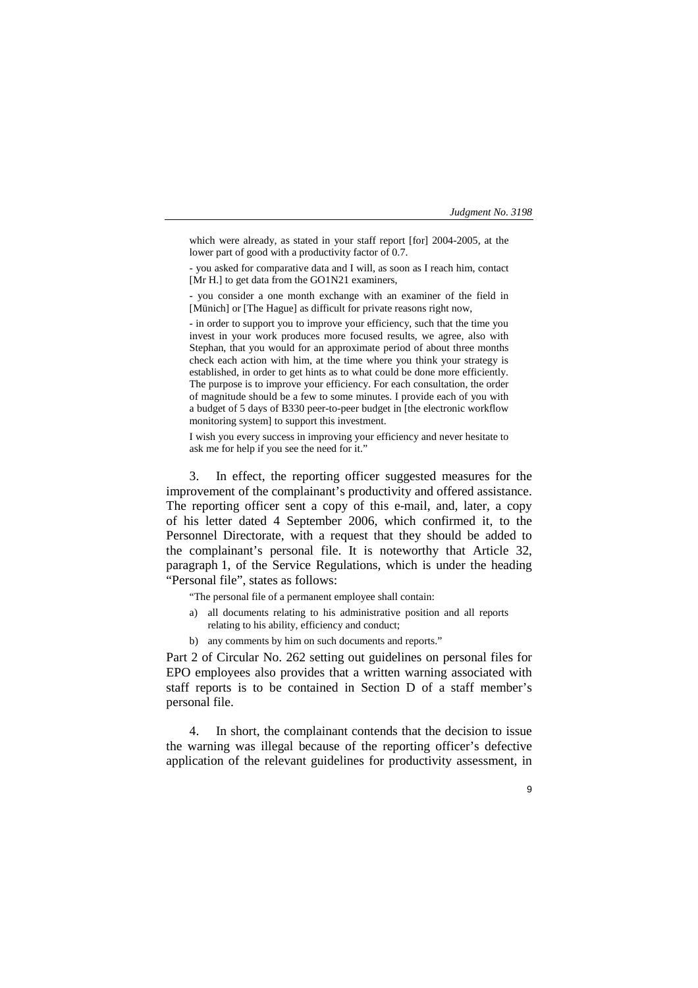9

which were already, as stated in your staff report [for] 2004-2005, at the lower part of good with a productivity factor of 0.7.

- you asked for comparative data and I will, as soon as I reach him, contact [Mr H.] to get data from the GO1N21 examiners,

- you consider a one month exchange with an examiner of the field in [Münich] or [The Hague] as difficult for private reasons right now,

- in order to support you to improve your efficiency, such that the time you invest in your work produces more focused results, we agree, also with Stephan, that you would for an approximate period of about three months check each action with him, at the time where you think your strategy is established, in order to get hints as to what could be done more efficiently. The purpose is to improve your efficiency. For each consultation, the order of magnitude should be a few to some minutes. I provide each of you with a budget of 5 days of B330 peer-to-peer budget in [the electronic workflow monitoring system] to support this investment.

I wish you every success in improving your efficiency and never hesitate to ask me for help if you see the need for it."

3. In effect, the reporting officer suggested measures for the improvement of the complainant's productivity and offered assistance. The reporting officer sent a copy of this e-mail, and, later, a copy of his letter dated 4 September 2006, which confirmed it, to the Personnel Directorate, with a request that they should be added to the complainant's personal file. It is noteworthy that Article 32, paragraph 1, of the Service Regulations, which is under the heading "Personal file", states as follows:

"The personal file of a permanent employee shall contain:

- a) all documents relating to his administrative position and all reports relating to his ability, efficiency and conduct;
- b) any comments by him on such documents and reports."

Part 2 of Circular No. 262 setting out guidelines on personal files for EPO employees also provides that a written warning associated with staff reports is to be contained in Section D of a staff member's personal file.

4. In short, the complainant contends that the decision to issue the warning was illegal because of the reporting officer's defective application of the relevant guidelines for productivity assessment, in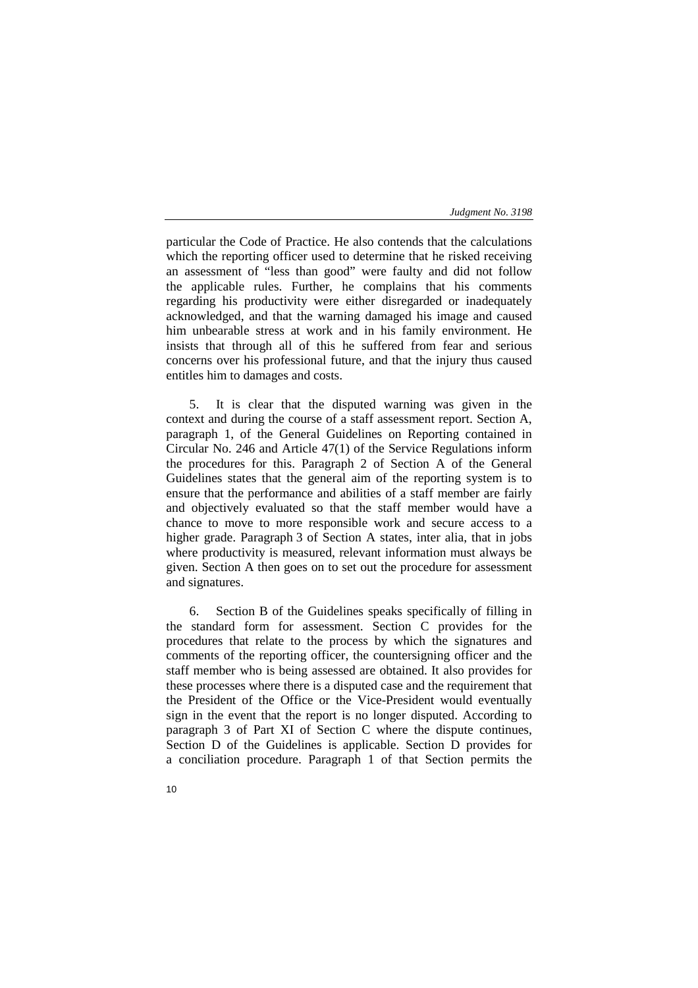particular the Code of Practice. He also contends that the calculations which the reporting officer used to determine that he risked receiving an assessment of "less than good" were faulty and did not follow the applicable rules. Further, he complains that his comments regarding his productivity were either disregarded or inadequately acknowledged, and that the warning damaged his image and caused him unbearable stress at work and in his family environment. He insists that through all of this he suffered from fear and serious concerns over his professional future, and that the injury thus caused entitles him to damages and costs.

5. It is clear that the disputed warning was given in the context and during the course of a staff assessment report. Section A, paragraph 1, of the General Guidelines on Reporting contained in Circular No. 246 and Article 47(1) of the Service Regulations inform the procedures for this. Paragraph 2 of Section A of the General Guidelines states that the general aim of the reporting system is to ensure that the performance and abilities of a staff member are fairly and objectively evaluated so that the staff member would have a chance to move to more responsible work and secure access to a higher grade. Paragraph 3 of Section A states, inter alia, that in jobs where productivity is measured, relevant information must always be given. Section A then goes on to set out the procedure for assessment and signatures.

6. Section B of the Guidelines speaks specifically of filling in the standard form for assessment. Section C provides for the procedures that relate to the process by which the signatures and comments of the reporting officer, the countersigning officer and the staff member who is being assessed are obtained. It also provides for these processes where there is a disputed case and the requirement that the President of the Office or the Vice-President would eventually sign in the event that the report is no longer disputed. According to paragraph 3 of Part XI of Section C where the dispute continues, Section D of the Guidelines is applicable. Section D provides for a conciliation procedure. Paragraph 1 of that Section permits the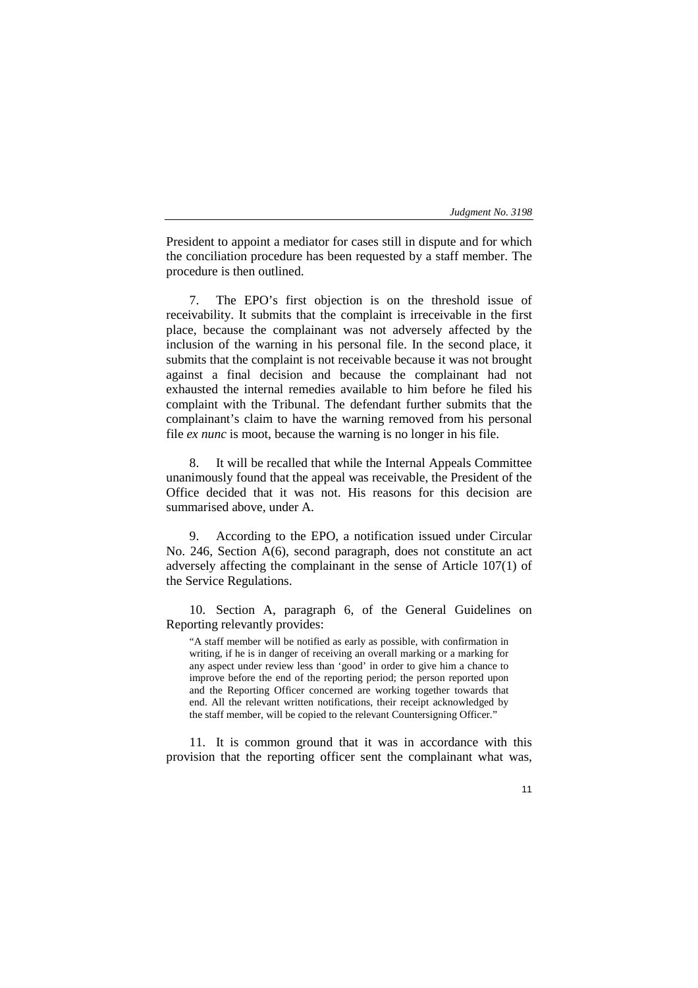President to appoint a mediator for cases still in dispute and for which the conciliation procedure has been requested by a staff member. The procedure is then outlined.

7. The EPO's first objection is on the threshold issue of receivability. It submits that the complaint is irreceivable in the first place, because the complainant was not adversely affected by the inclusion of the warning in his personal file. In the second place, it submits that the complaint is not receivable because it was not brought against a final decision and because the complainant had not exhausted the internal remedies available to him before he filed his complaint with the Tribunal. The defendant further submits that the complainant's claim to have the warning removed from his personal file *ex nunc* is moot, because the warning is no longer in his file.

8. It will be recalled that while the Internal Appeals Committee unanimously found that the appeal was receivable, the President of the Office decided that it was not. His reasons for this decision are summarised above, under A.

9. According to the EPO, a notification issued under Circular No. 246, Section A(6), second paragraph, does not constitute an act adversely affecting the complainant in the sense of Article 107(1) of the Service Regulations.

10. Section A, paragraph 6, of the General Guidelines on Reporting relevantly provides:

"A staff member will be notified as early as possible, with confirmation in writing, if he is in danger of receiving an overall marking or a marking for any aspect under review less than 'good' in order to give him a chance to improve before the end of the reporting period; the person reported upon and the Reporting Officer concerned are working together towards that end. All the relevant written notifications, their receipt acknowledged by the staff member, will be copied to the relevant Countersigning Officer."

11. It is common ground that it was in accordance with this provision that the reporting officer sent the complainant what was,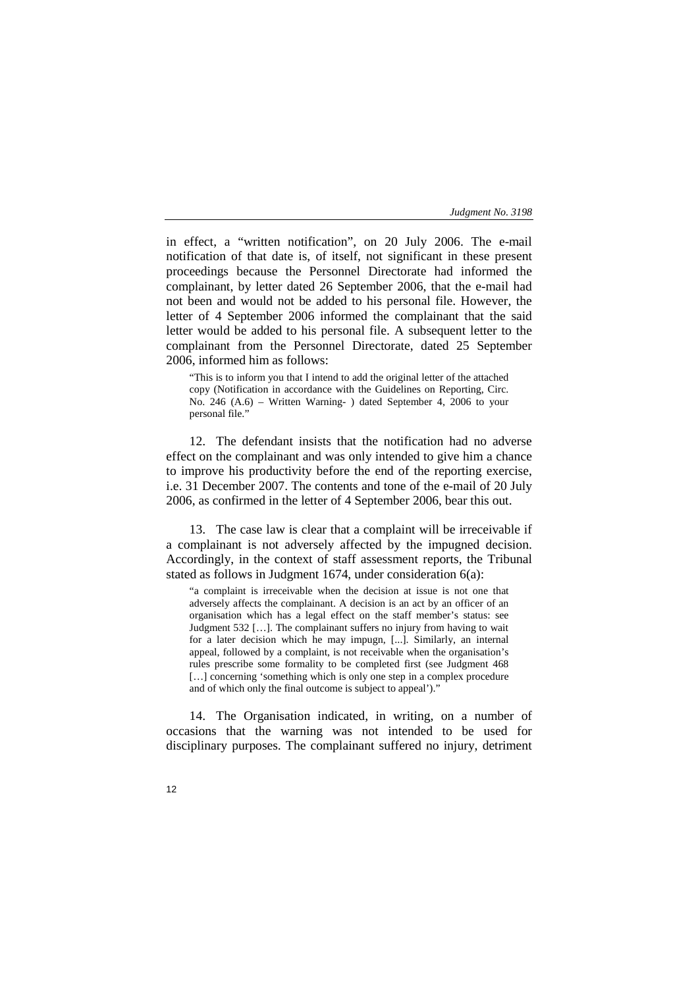in effect, a "written notification", on 20 July 2006. The e-mail notification of that date is, of itself, not significant in these present proceedings because the Personnel Directorate had informed the complainant, by letter dated 26 September 2006, that the e-mail had not been and would not be added to his personal file. However, the letter of 4 September 2006 informed the complainant that the said letter would be added to his personal file. A subsequent letter to the complainant from the Personnel Directorate, dated 25 September 2006, informed him as follows:

"This is to inform you that I intend to add the original letter of the attached copy (Notification in accordance with the Guidelines on Reporting, Circ. No. 246 (A.6) – Written Warning- ) dated September 4, 2006 to your personal file."

12. The defendant insists that the notification had no adverse effect on the complainant and was only intended to give him a chance to improve his productivity before the end of the reporting exercise, i.e. 31 December 2007. The contents and tone of the e-mail of 20 July 2006, as confirmed in the letter of 4 September 2006, bear this out.

13. The case law is clear that a complaint will be irreceivable if a complainant is not adversely affected by the impugned decision. Accordingly, in the context of staff assessment reports, the Tribunal stated as follows in Judgment 1674, under consideration 6(a):

"a complaint is irreceivable when the decision at issue is not one that adversely affects the complainant. A decision is an act by an officer of an organisation which has a legal effect on the staff member's status: see Judgment 532 […]. The complainant suffers no injury from having to wait for a later decision which he may impugn, [...]. Similarly, an internal appeal, followed by a complaint, is not receivable when the organisation's rules prescribe some formality to be completed first (see Judgment 468 [...] concerning 'something which is only one step in a complex procedure and of which only the final outcome is subject to appeal')."

14. The Organisation indicated, in writing, on a number of occasions that the warning was not intended to be used for disciplinary purposes. The complainant suffered no injury, detriment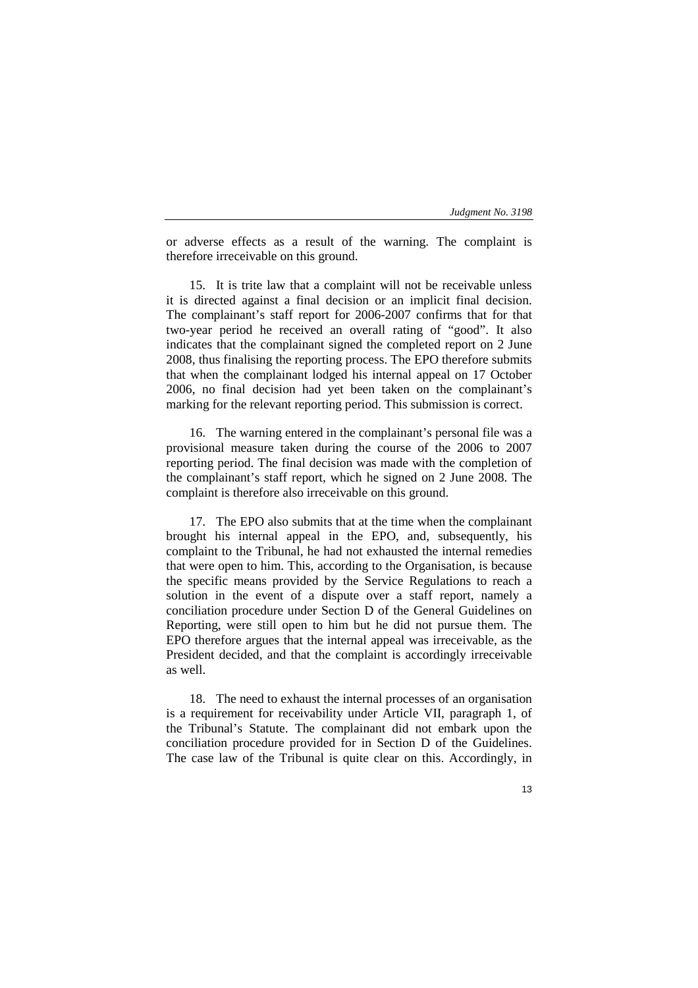or adverse effects as a result of the warning. The complaint is therefore irreceivable on this ground.

15. It is trite law that a complaint will not be receivable unless it is directed against a final decision or an implicit final decision. The complainant's staff report for 2006-2007 confirms that for that two-year period he received an overall rating of "good". It also indicates that the complainant signed the completed report on 2 June 2008, thus finalising the reporting process. The EPO therefore submits that when the complainant lodged his internal appeal on 17 October 2006, no final decision had yet been taken on the complainant's marking for the relevant reporting period. This submission is correct.

16. The warning entered in the complainant's personal file was a provisional measure taken during the course of the 2006 to 2007 reporting period. The final decision was made with the completion of the complainant's staff report, which he signed on 2 June 2008. The complaint is therefore also irreceivable on this ground.

17. The EPO also submits that at the time when the complainant brought his internal appeal in the EPO, and, subsequently, his complaint to the Tribunal, he had not exhausted the internal remedies that were open to him. This, according to the Organisation, is because the specific means provided by the Service Regulations to reach a solution in the event of a dispute over a staff report, namely a conciliation procedure under Section D of the General Guidelines on Reporting, were still open to him but he did not pursue them. The EPO therefore argues that the internal appeal was irreceivable, as the President decided, and that the complaint is accordingly irreceivable as well.

18. The need to exhaust the internal processes of an organisation is a requirement for receivability under Article VII, paragraph 1, of the Tribunal's Statute. The complainant did not embark upon the conciliation procedure provided for in Section D of the Guidelines. The case law of the Tribunal is quite clear on this. Accordingly, in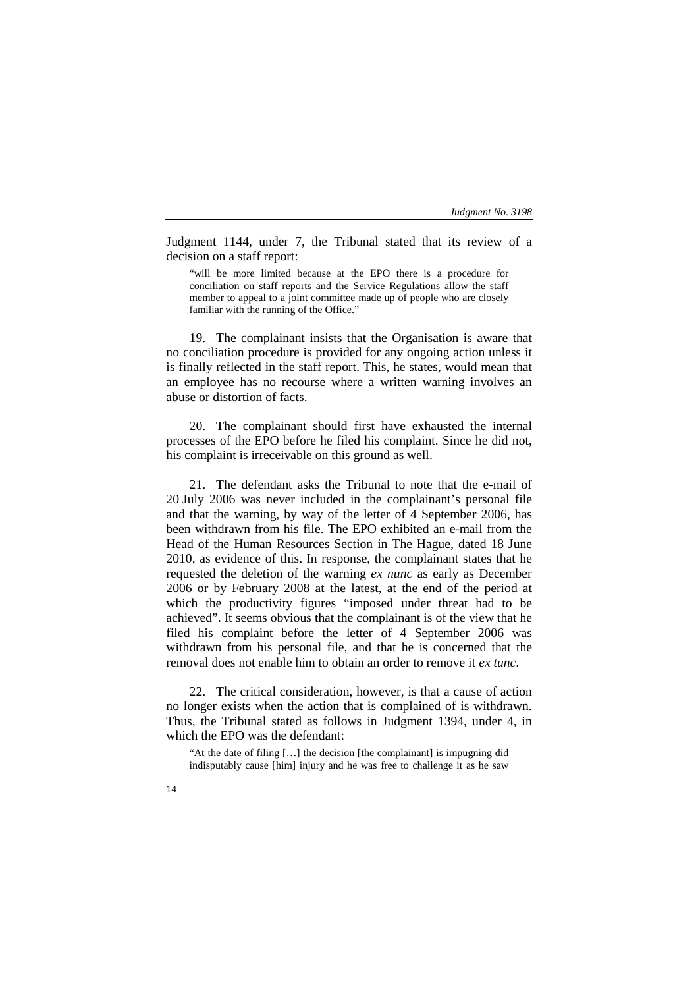Judgment 1144, under 7, the Tribunal stated that its review of a decision on a staff report:

"will be more limited because at the EPO there is a procedure for conciliation on staff reports and the Service Regulations allow the staff member to appeal to a joint committee made up of people who are closely familiar with the running of the Office."

19. The complainant insists that the Organisation is aware that no conciliation procedure is provided for any ongoing action unless it is finally reflected in the staff report. This, he states, would mean that an employee has no recourse where a written warning involves an abuse or distortion of facts.

20. The complainant should first have exhausted the internal processes of the EPO before he filed his complaint. Since he did not, his complaint is irreceivable on this ground as well.

21. The defendant asks the Tribunal to note that the e-mail of 20 July 2006 was never included in the complainant's personal file and that the warning, by way of the letter of 4 September 2006, has been withdrawn from his file. The EPO exhibited an e-mail from the Head of the Human Resources Section in The Hague, dated 18 June 2010, as evidence of this. In response, the complainant states that he requested the deletion of the warning *ex nunc* as early as December 2006 or by February 2008 at the latest, at the end of the period at which the productivity figures "imposed under threat had to be achieved". It seems obvious that the complainant is of the view that he filed his complaint before the letter of 4 September 2006 was withdrawn from his personal file, and that he is concerned that the removal does not enable him to obtain an order to remove it *ex tunc*.

22. The critical consideration, however, is that a cause of action no longer exists when the action that is complained of is withdrawn. Thus, the Tribunal stated as follows in Judgment 1394, under 4, in which the EPO was the defendant:

"At the date of filing […] the decision [the complainant] is impugning did indisputably cause [him] injury and he was free to challenge it as he saw

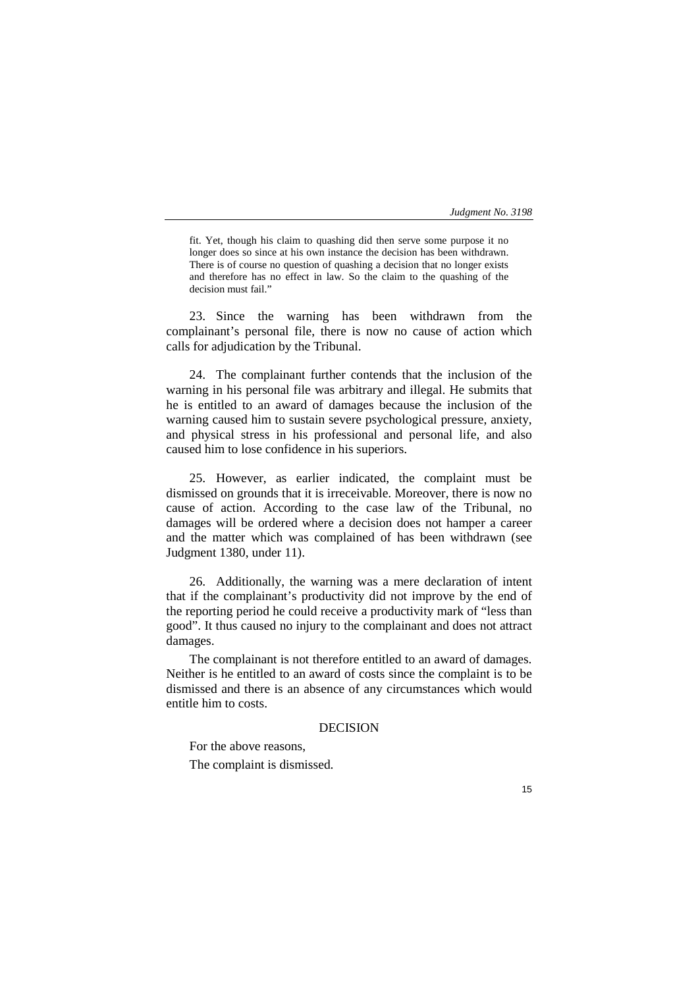fit. Yet, though his claim to quashing did then serve some purpose it no longer does so since at his own instance the decision has been withdrawn. There is of course no question of quashing a decision that no longer exists and therefore has no effect in law. So the claim to the quashing of the decision must fail."

23. Since the warning has been withdrawn from the complainant's personal file, there is now no cause of action which calls for adjudication by the Tribunal.

24. The complainant further contends that the inclusion of the warning in his personal file was arbitrary and illegal. He submits that he is entitled to an award of damages because the inclusion of the warning caused him to sustain severe psychological pressure, anxiety, and physical stress in his professional and personal life, and also caused him to lose confidence in his superiors.

25. However, as earlier indicated, the complaint must be dismissed on grounds that it is irreceivable. Moreover, there is now no cause of action. According to the case law of the Tribunal, no damages will be ordered where a decision does not hamper a career and the matter which was complained of has been withdrawn (see Judgment 1380, under 11).

26. Additionally, the warning was a mere declaration of intent that if the complainant's productivity did not improve by the end of the reporting period he could receive a productivity mark of "less than good". It thus caused no injury to the complainant and does not attract damages.

The complainant is not therefore entitled to an award of damages. Neither is he entitled to an award of costs since the complaint is to be dismissed and there is an absence of any circumstances which would entitle him to costs.

# **DECISION**

For the above reasons,

The complaint is dismissed.